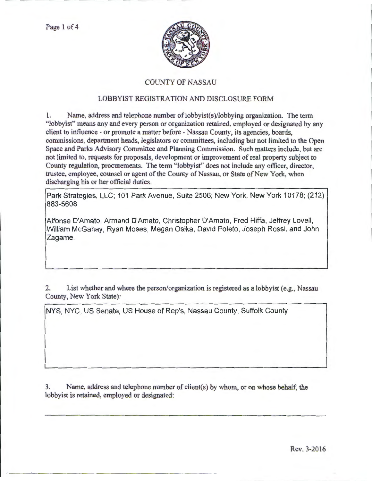

## COUNTY OF NASSAU

## LOBBYIST REGISTRATION AND DISCLOSURE FORM

1. Name, address and telephone number of lobbyist(s)/lobbying organization. The term "lobbyist" means any and every person or organization retained, employed or designated by any client to influence- or promote a matter before- Nassau County, its agencies, boards, commissions, department heads, legislators or committees, including but not limited to the Open Space and Parks Advisory Committee and Planning Commission. Such matters include, but arc not limited to, requests for proposals, development or improvement of real property subject to County regulation, procurements. The term "lobbyist" does not include any officer, director, trustee, employee, counsel or agent of the County of Nassau, or State of New York, when discharging his or her official duties.

Park Strategies, LLC; 101 Park Avenue, Suite 2506; New York, New York 10178; (212) 883-5608

Alfonse D'Amato, Armand D'Amato, Christopher D'Amato, Fred Hiffa, Jeffrey Lovell, William McGahay, Ryan Moses, Megan Osika, David Poleto, Joseph Rossi, and John Zagame.

2. List whether and where the person/organization is registered as a lobbyist (e.g., Nassau County, New York State):

NYS, NYC, US Senate, US House of Rep's, Nassau County, Suffolk County

3. Name, address and telephone number of client(s) by whom, or on whose behalf, the lobbyist is retained, employed or designated: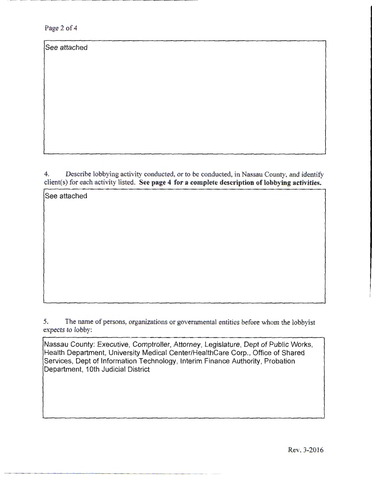Page 2 of 4

See attached

4. Describe lobbying activity conducted, or to be conducted, in Nassau County, and identify client(s) for each activity listed. See page 4 for a complete description of lobbying activities.

See attached

5. The name of persons, organizations or governmental entities before whom the lobbyist expects to lobby:

Nassau County: Executive, Comptroller, Attorney, Legislature, Dept of Public Works, Health Department, University Medical Center/HealthCare Corp., Office of Shared Services, Dept of Information Technology, Interim Finance Authority, Probation Department, 1Oth Judicial District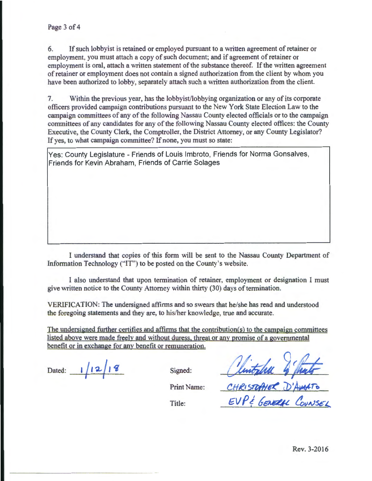6. If such lobbyist is retained or employed pursuant to a written agreement of retainer or employment, you must attach a copy of such document; and if agreement of retainer or employment is oral, attach a written statement of the substance thereof. If the written agreement of retainer or employment does not contain a signed authorization from the client by whom you have been authorized to lobby, separately attach such a written authorization from the client.

7. Within the previous year, has the lobbyist/lobbying organization or any of its corporate officers provided campaign contributions pursuant to the New York State Election Law to the campaign committees of any of the following Nassau County elected officials or to the campaign committees of any candidates for any of the following Nassau County elected offices: the County Executive, the County Clerk, the Comptroller, the District Attorney, or any County Legislator? If yes, to what campaign committee? If none, you must so state:

Yes: County Legislature- Friends of Louis lmbroto, Friends for Norma Gonsalves, Friends for Kevin Abraham, Friends of Carrie Solages

I understand that copies of this form will be sent to the Nassau County Department of Information Technology ("IT") to be posted on the County's website.

I also understand that upon termination of retainer, employment or designation I must give written notice to the County Attorney within thirty (30) days of termination.

VERIFICATION: The undersigned affirms and so swears that he/she has read and understood the foregoing statements and they are, to his/her knowledge, true and accurate.

The undersigned further certifies and affirms that the contribution(s) to the campaign committees listed above were made freely and without duress. threat or any promise of a governmental benefit or in exchange for any benefit or remuneration.

Dated: 1/12/18

Signed:

Clintophe 4 funts

Print Name:

Title:

 $EVP$ & GENERAL COUNSEL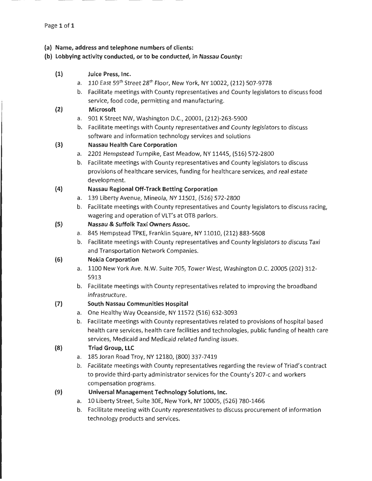- **(a) Name, address and telephone numbers of clients:**
- **(b) Lobbying activity conducted, or to be conducted, in Nassau County:** 
	- **(1) Juice Press, Inc.** 
		- a. 110 East 59<sup>th</sup> Street 28<sup>th</sup> Floor, New York, NY 10022, (212) 507-9778
		- b. Facilitate meetings with County representatives and County legislators to discuss food service, food code, permitting and manufacturing.

### **(2) Microsoft**

- a. 901 K Street NW, Washington D.C., 20001, {212)-263-5900
- b. Facilitate meetings with County representatives and County legislators to discuss software and information technology services and solutions

## **(3) Nassau Health Care Corporation**

- a. 2201 Hempstead Turnpike, East Meadow, NY 11445, (516) 572-2800
- b. Facilitate meetings with County representatives and County legislators to discuss provisions of healthcare services, funding for healthcare services, and real estate development.

#### **(4) Nassau Regional Off-Track Betting Corporation**

- a. 139 Liberty Avenue, Mineola, NY 11501, (516) 572-2800
- b. Facilitate meetings with County representatives and County legislators to discuss racing, wagering and operation of VLT's at OTB parlors.

#### **(S) Nassau & Suffolk Taxi Owners Assoc.**

- a. 845 Hempstead TPKE, Franklin Square, NY 11010, (212) 883-5608
- b. Facilitate meetings with County representatives and County legislators to discuss Taxi and Transportation Network Companies.

#### **(6) Nokia Corporation**

- a. 1100 New York Ave. N.W. Suite 705, Tower West, Washington D.C. 20005 {202) 312- 5913
- b. Facilitate meetings with County representatives related to improving the broadband infrastructure.

#### **(7) South Nassau Communities Hospital**

- a. One Healthy Way Oceanside, NY 11572 {516) 632-3093
- b. Facilitate meetings with County representatives related to provisions of hospital based health care services, health care facilities and technologies, public funding of health care services, Medicaid and Medicaid related funding issues.

## **(8) Triad Group, LLC**

- a. 185 Joran Road Troy, NY 12180, {800) 337-7419
- b. Facilitate meetings with County representatives regarding the review of Triad's contract to provide third-party administrator services for the County's 207-c and workers compensation programs.
- **(9) Universal Management Technology Solutions, Inc.** 
	- a. 10 Liberty Street, Suite 30E, New York, NY 10005, {526) 780-1466
	- b. Facilitate meeting with County representatives to discuss procurement of information technology products and services.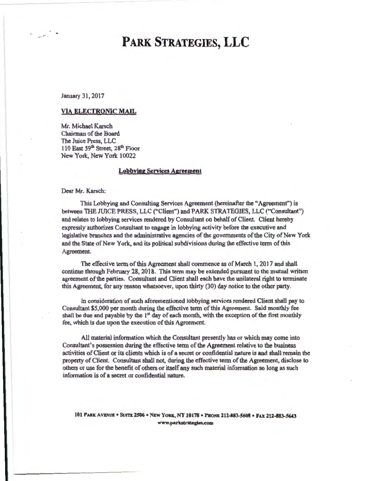January 31,2017

#### VIA ELECTRONIC MAIL

Mr. Michael Karsch Chairman of the Board The Juice Press, LLC 110 East 59<sup>th</sup> Street, 28<sup>th</sup> Floor New York, New York 10022

### Lobbying Services Agreement

Dear Mr. Karsch:

This Lobbying and Consulting Services Agreement (hereinafter the "Agreement") is between TilE JUICE PRESS, LLC ("Client") and PARK STRATEGIES, LLC ("Consultant") and relates to lobbying services rendered by Consultant on behalf of Client. Client hereby expressly authorizes Consultant to engage in lobbying activity before the executive and legislative branches and the administrative agencies of the governments of the City of New York and the State of New York, and its political subdivisions during the effective term of this Agreement.

The effective term of this Agreement shall commence as of March 1, 2017 and shall continue through February 28, 2018. This term may be extended pursuant to the mutual written agreement of the parties. Consultant and Client shall each have the unilateral right to terminate this Agreement, for any reason whatsoever, upon thirty (30) day notice to the other party.

In consideration of such aforementioned lobbying services rendered Client shall pay to Consultant \$5,000 per month during the effective term of this Agreement. Said monthly fee shall be due and payable by the  $1<sup>st</sup>$  day of each month, with the exception of the first monthly fee, which is due upon the execution of this Agreement.

All material information which the Consultant presently has or which may come into Consultant's possession during the effective tenn of the Agreement relative to the business activities of Client or its clients which is of a secret or confidential nature is and shall remain the property of Client. Consultant shall not, during the effective tenn of the Agreement, disclose to others or use for the benefit of others or itself any such material information so long as such infonnation is of a secret or confidential nature.

101 PARK AVENUE • SUITE 2506 • NEW YORK, NY 10178 • PHONE 212-883-5608 • FAX 212-883-5643 www.parkstrategies.com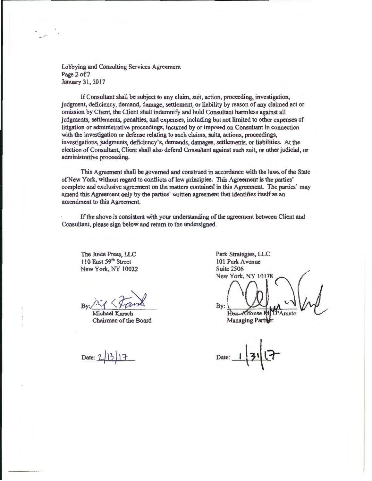Lobbying and Consulting Services Agreement Page 2of2 January 31,2017

If Consultant shall be subject to any claim, suit, action, proceeding, investigation, judgment, deficiency, demand, damage, settlement, or liability by reason of any claimed act or omission by Client, the Client shall indemnify and hold Consultant harmless against all judgments, settlements, penalties, and expenses, including but not limited to other expenses of litigation or administrative proceedings, incurred by or imposed on Consultant in connection with the investigation or defense relating to such claims, suits, actions, proceedings, investigations, judgments, deficiency's, demands, damages, settlements, or liabilities. At the election of Consultant, Client shall also defend Consultant against such suit, or other judicial, or administrative proceeding.

This Agreement shall be governed and construed in accordance with the laws of the State of New York, without regard to conflicts of law principles. This Agreement is the parties' complete and exclusive agreement on the matters contained in this Agreement. The parties' may amend this Agreement only by the parties' written agreement that identifies itself as an amendment to this Agreement.

If the above is consistent with your understanding of the agreement between Client and Consultant, please sign below and return to the undersigned.

The Juice Press, LLC 110 East 59th Street New York, NY 10022

 $By: \bigwedge^k$ 

Michael Karsch Chairman of the Board

Date: 2

Park Strategies, LLC 101 Park Avenue **Suite 2506** New York, NY 10178 By:  $\ddot{D}$ 'Amato **Alfonse** N Han. **Managing Partitr** 

Date: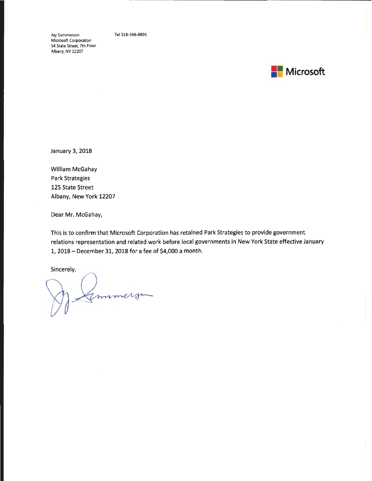Jay Summerson Microsoft Corporation 54 State Street, 7th Floor Albany, NY 12207

Tel 518-368-8805



January *3,* 2018

William McGahay Park Strategies 125 State Street Albany, New York 12207

Dear Mr. McGahay,

This is to confirm that Microsoft Corporation has retained Park Strategies to provide government relations representation and related work before local governments in New York State effective January *1,* 2018- December 31, 2018 for a fee of *\$4,000* a month.

Sincerely,

ammerge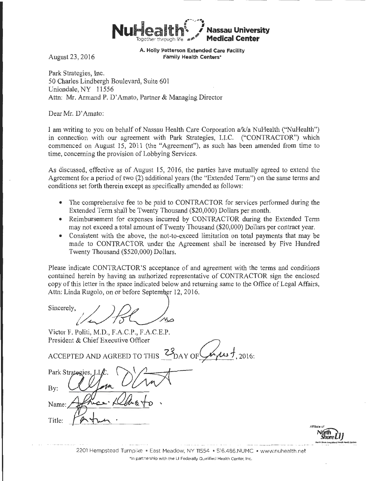

August 23 , 2016

**A. Holly Patterson Extended Care Facility Family Health Centers•** 

Park Strategies, Inc. 50 Charles Lindbergh Boulevard, Suite 601 Uniondale, NY 11556 Attn: Mr. Armand P. D' Amato, Partner & Managing Director

Dear Mr. D' Amato:

I am writing to you on behalf of Nassau Health Care Corporation a/k/a NuHealth ("NuHealth") in connection with our agreement with Park Strategies, LLC. ("CONTRACTOR") which commenced on August 15, 2011 (the "Agreement"), as such has been amended from time to time, concerning the provision of Lobbying Services.

As discussed, effective as of August 15, 2016, the parties have mutually agreed to extend the Agreement for a period of two (2) additional years (the "Extended Term") on the same terms and conditions set forth therein except as specifically amended as follows:

- The comprehensive fee to be paid to CONTRACTOR for services performed during the Extended Term shall be Twenty Thousand (\$20,000) Dollars per month.
- Reimbursement for expenses incurred by CONTRACTOR during the Extended Term may not exceed a total amount of Twenty Thousand (\$20,000) Dollars per contract year.
- Consistent with the above, the not-to-exceed limitation on total payments that may be made to CONTRACTOR under the Agreement shall be increased by Five Hundred Twenty Thousand (\$520,000) Dollars.

Please indicate CONTRACTOR'S acceptance of and agreement with the terms and conditions contained herein by having an authorized representative of CONTRACTOR sign the enclosed copy of this letter in the space indicated below and returning same to the Office of Legal Affairs, Attn: Linda Rugolo, on or before September 12, 2016.

Sincerely,  $/$  )  $\mathcal{D}$ 

Victor F. Politi, M.D., F.A.C.P., F.A.C.E.P.<br>President & Chief Executive Officer ACCEPTED AND AGREED TO THIS  $\frac{23}{20}$ DAY OF  $\frac{1}{4}$ , 2016: Park Strategies  $\partial$ Bv: Name: Title:



2201 Hempstead Turnpike · East Meadow, NY 11554 · 516.486.NUMC · www.nuhealth.net ' In partnership w ith the Ll Federally Qualified Health Center, Inc.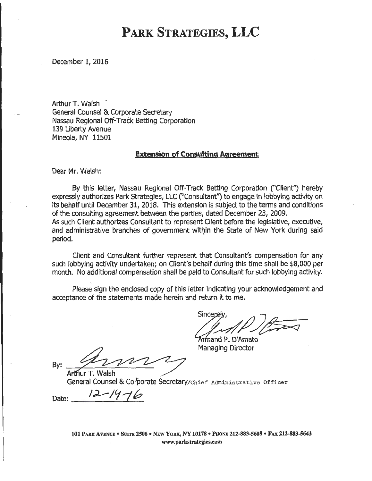December 1, 2016

Arthur **T.** Walsh - General Counsel & Corporate Secretary Nassau Regional Off-Track Betting Corporation 139 Liberty Avenue Mineola, NY 11501

### **Extension of Consulting Agreement**

Dear Mr. Walsh:

By this letter, Nassau Regional Off-Track Betting Corporation ("Client") hereby expressly authorizes Park Strategies, LLC ("Consultant'') to engage in lobbying activity on its behalf until December 31, 2018. This extension is subject to the terms and conditions of the consulting agreement between the parties, dated December 23, 2009. As such Client authorizes Consultant to represent Client before the legislative, executive, and administrative branches of government within the State of New York during said period.

Client and Consultant further represent that Consultant's compensation for any such lobbying activity undertaken; on Client's behalf during this time shall be \$8,000 per month. No additional compensation shall be paid to Consultant for such lobbying activity.

Please sign the enclosed copy of this letter indicating your acknowledgement and acceptance of the statements made herein and return it to me.

Sincerel

Armand P. D'Amato Managing Director

By:

Arthur T. Walsh General Counsel & Corporate Secretary/chief Administrative Officer

Date:  $12 - 14 - 16$ 

101 PARK A VENUE • SUITE 2506 • NEW YORK, NY 10178 • PHoNE 212-883-5608 • FAX 212-883-5643 www.parkstrategies.com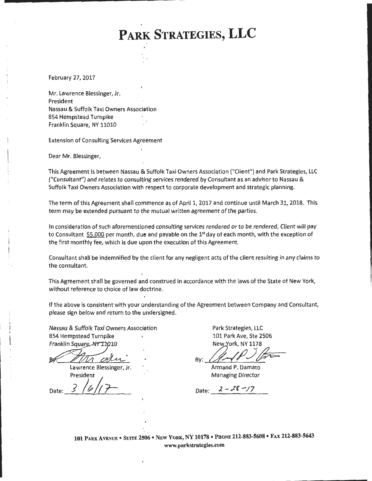February 27, 2017

Mr. Lawrence Blessinger, Jr. President Nassau & Suffolk Taxi Owners Association 854 Hempstead Turnpike Franklin Square, NY 11010

Extension of Consulting Services Agreement

Dear Mr. Blessinger,

This Agreement is between Nassau & Suffolk Taxi Owners Association ("Client'') and Park Strategies, LLC ("Consultant") and relates to consulting services rendered by Consultant as an advisor to Nassau & Suffolk Taxi Owners Association with respect to corporate development and strategic planning.

The term of this Agreement shall commence as of April 1, 2017 and continue until March 31, 2018. This term may be extended pursuant to the mutual written agreement of the parties.

In consideration of such aforementioned consulting services rendered or to be rendered, Client will pay to Consultant  $$5,000$  per month, due and payable on the  $1<sup>st</sup>$  day of each month, with the exception of the first monthly fee, which is due upon the execution of this Agreement.

Consultant shall be indemnified by the client for any negligent acts of the client resulting in any claims to the consultant.

This Agreement shall be governed and construed in accordance with the laws of the State of New York, without reference to choice of law doctrine.

If the above is consistent with your understanding of the Agreement between Company and Consultant, please sign below and return to the undersigned.

Nassau & Suffolk Taxi Owners Association 854 Hempstead Turnpike Franklin Square, NY 11010

 $\mathbb{Z}_2$ 

Lawrence Blessinger, Jr. President

Date:

Park Strategies, LLC 101 Park Ave, Ste 2506

By 21-1P 2 P

Armand P. Damato Managing Director

Date:  $2 - 28 - 17$ 

**101** PARK AVENUE • SUITE 2so6 • NEW YoRK, NY 10178 • PHONE 212-883-5608 • FAX 212-883-5643 www.parkstrategies.com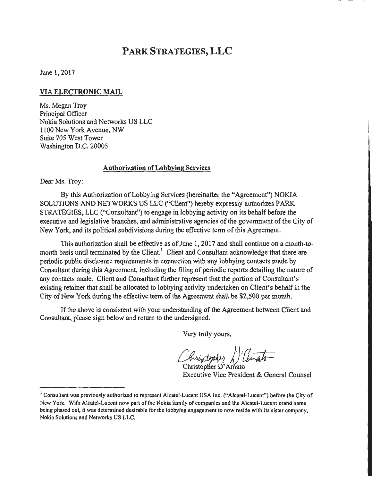June 1, 2017

## **VIA ELECTRONIC MAIL**

Ms. Megan Troy Principal Officer Nokia Solutions and Networks US LLC 1100 New York Avenue, NW Suite 705 West Tower Washington D.C. 20005

### **Authorization of Lobbying** Services

Dear Ms. Troy:

By this Authorization of Lobbying Services (hereinafter the "Agreement") NOKIA SOLUTIONS AND NETWORKS US LLC ("Client") hereby expressly authorizes PARK STRATEGIES, LLC ("Consultant") to engage in lobbying activity on its behalf before the executive and legislative branches, and administrative agencies of the government of the City of New York, and its political subdivisions during the effective term of this Agreement.

This authorization shall be effective as of June 1, 2017 and shall continue on a month-tomonth basis until terminated by the Client.<sup>1</sup> Client and Consultant acknowledge that there are periodic public disclosure requirements in connection with any lobbying contacts made by Consultant during this Agreement, including the filing of periodic reports detailing the nature of any contacts made. Client and Consultant further represent that the portion of Consultant's existing retainer that shall be allocated to lobbying activity undertaken on Client's behalf in the City of New York during the effective term of the Agreement shall be \$2,500 per month.

If the above is consistent with your understanding of the Agreement between Client and Consultant, please sign below and return to the undersigned.

Very truly yours,

hristophy / Cemato

Executive Vice President & General Counsel

<sup>&</sup>lt;sup>1</sup> Consultant was previously authorized to represent Alcatel-Lucent USA Inc. ("Alcatel-Lucent") before the City of New York. With Alcatel-Lucent now part of the Nokia family of companies and the Alcatel-Lucent brand name being phased out, it was determined desirable for the lobbying engagement to now reside with its sister company, Nokia Solutions and Networks US LLC.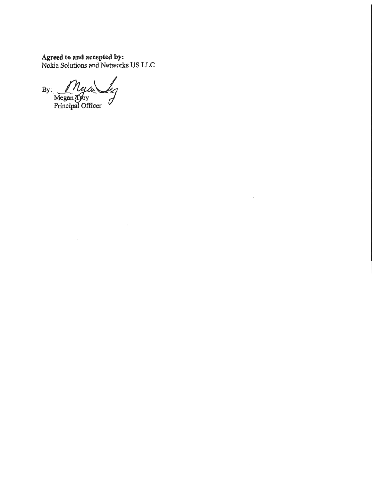## Agreed to and accepted by: Nokia Solutions and Networks US LLC

 $\bar{\mathcal{A}}$ 

 $\overline{\phantom{a}}$ 

 $\mathcal{L}_{\mathcal{A}}$ 

 $By:$   $My$  and  $y$ Principal Officer

 $\sim$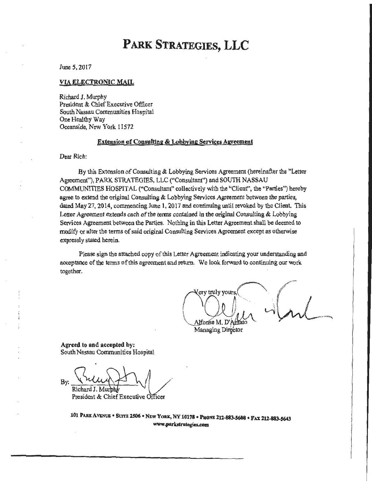June 5, 2017

#### VIA ELECTRONIC MAIL

Richard J. Murphy President & Chief Executive Officer South Nassau Communities Hospital One Healthy Way Oceanside, New York 11572

### Extension of Consulting & Lobbying Services Agreement

Dear Rich:

By this Extension of Consulting & Lobbying Services Agreement (hereinafter the "Letter Agreement"), PARK STRATEGIES, LLC (''Consultant") and SOUTH NASSAU COMMUNITIES HOSPITAL ("Consultant" collectively with the "Client", the "Parties") hereby agree to extend the original Consulting & Lobbying Services Agreement between the parties, dated May 27, 2014, commencing June 1, 2017 and continuing until revoked by the Client. This Letter Agreement extends each of the terms contained in the original Consulting & Lobbying Services Agreement between the Parties. Nothing in this Letter Agreement shall be deemed to modify or alter the terms of said original Consulting Services Agreement except as otherwise expressly stated herein.

Please sign the attached copy of this Letter Agreement indicating your understanding and acceptance of the tenns of this agreement and return. We look forward to continumg our work together.

ery truly yours) Alfonse M. D'Amato

Managing Director

Agreed to and accepted by: South Nassau Communities Hospital

. –<br>.  $B_y: \frac{\sqrt{\lambda}l\mu\lambda}{\text{Richard's. Multiply}}$ 

President & Chief Executive Officer

101 PARK AVENUE • SUTTE 2506 • NEW YORK, NY 10178 • PHONE 212-883-5608 • FAX 212-883-5643 www.parkstrategies.com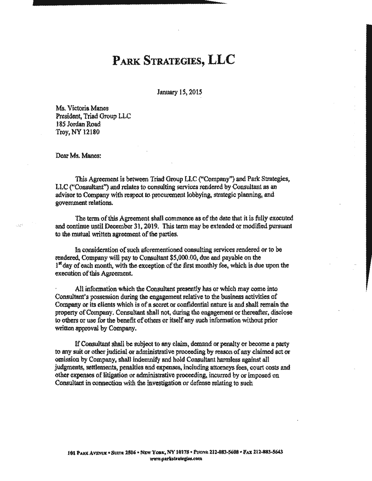January 15, 2015

Ms. Victoria Manes President, Triad Group LLC 185 Jordan Road Troy, NY 12180

Dear Ms. Manes:

This Agreement is between Triad Group LLC ("Company") and Park Strategies, LLC ("Consultant") and relates to consulting services rendered by Consultant as an advisor to Company with respect to procurement lobbying, strategic planning, and government relations.

The term of this Agreement shall commence as of the date that it is fully executed and continue until December 31, 2019. This term may be extended or modified pursuant to the mutual written agreement of the parties.

In consideration of such aforementioned consulting services rendered or to be rendered, Company will pay to Consultant \$5,000.00, due and payable on the <sup>1st</sup> day of each month, with the exception of the first monthly fee, which is due upon the execution of this Agreement.

All information which the Consultant presently has or which may come into Consultant's possession during the engagement relative to the business activities of Company or its clients which is of a secret or confidential nature is and shall remain the property of Company. Consultant shall not, during the engagement or thereafter, disclose to others or use for the benefit of others or itself any such infonnation without prior written approval by Company.

If Consultant shall be subject to any claim, demand or penalty or become a party to any suit or other judicial or administrative proceeding by reason of any claimed act or omission by Company, shal1 indenmify and hold Consultant harmless against all judgments, settlements, penalties and expenses, including attorneys fees, court costs and other expenses of litigation or administrative proceeding, incurred by or imposed on Consultant in connection with the investigation or defense relating to such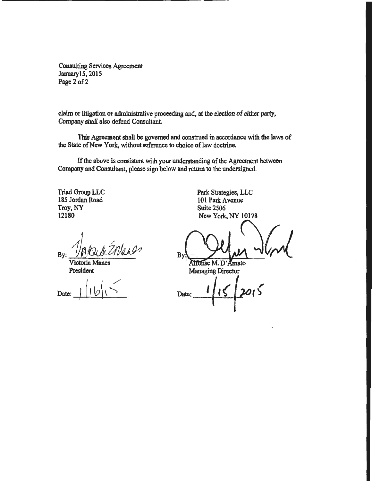Consulting Services Agreement JanuarylS, 2015 Page 2 of 2

claim or litigation or administrative proceeding and, at the election of either party, Company shall also defend Consultant.

This Agreement shall be governed and construed in accordance with the laws of the State of New York, without reference to choice of law doctrine.

If the above is consistent with your understanding of the Agreement between Company and Consultant, please sign below and return to the undersigned.

Triad Group LLC 185 Jordan Road Troy, NY 12180

1 *<sup>L</sup>*  $By: VKUMCHVUN$ 

Victoria Manes President

Date:

Park Strategies, LLC 101 Park Avenue Suite 2506 NewYork,NY 10178

 $B_y$   $\frac{1}{2}$   $\frac{1}{2}$ 

Managing Director

,  $\sqrt{2}$ Date: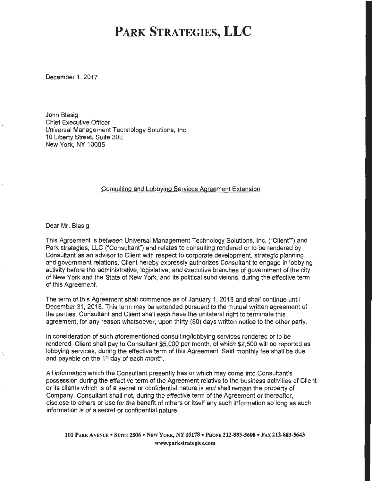December 1, 2017

John Blasig Chief Executive Officer Universal Management Technology Solutions, Inc. 10 Liberty Street, Suite 30E New York, NY 10005

#### Consulting and Lobbying Services Agreement Extension

Dear Mr. Blasig:

This Agreement is between Universal Management Technology Solutions, Inc. ("Client"") and Park strategies, LLC ("Consultant") and relates to consulting rendered or to be rendered by Consultant as an advisor to Client with respect to corporate development, strategic planning, and government relations. Client hereby expressly authorizes Consultant to engage in lobbying activity before the administrative, legislative, and executive branches of government of the city of New York and the State of New York, and its political subdivisions, during the effective term of this Agreement.

·The term of this Agreement shall commence as of January 1, 2018 and shall continue until December 31, 2018. This term may be extended pursuant to the mutual written agreement of the parties. Consultant and Client shall each have the unilateral right to terminate this agreement, for any reason whatsoever, upon thirty (30) days written notice to the other party.

In consideration of such aforementioned consulting/lobbying services rendered or to be rendered, Client shall pay to Consultant \$5,000 per month, of which \$2,500 will be reported as lobbying services, during the effective term of this Agreement. Said monthly fee shall be due and payable on the 1st day of each month.

All information which the Consultant presently has or which may come into Consultant's possession during the effective term of the Agreement relative to the business activities of Client or its clients which is of a secret or confidential nature is and shall remain the property of Company. Consultant shall not, during the effective term of the Agreement or thereafter, disclose to others or use for the benefit of others or itself any such information so long as such information is of a secret or confidential nature.

101 PARK AVENUE • SUITE 2506 • NEW YORK, NY 10178 • PHONE 212-883-5608 • FAX 212-883-5643 www.parkstrategies.com